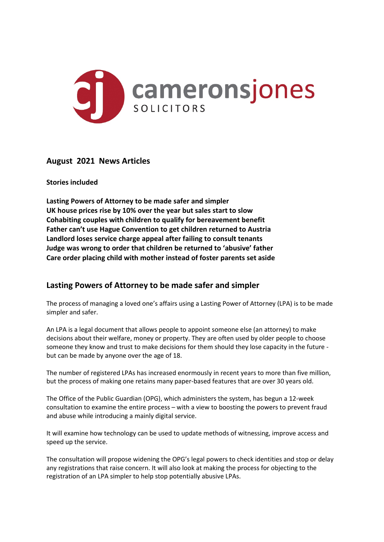

## **August 2021 News Articles**

### **Stories included**

**Lasting Powers of Attorney to be made safer and simpler UK house prices rise by 10% over the year but sales start to slow Cohabiting couples with children to qualify for bereavement benefit Father can't use Hague Convention to get children returned to Austria Landlord loses service charge appeal after failing to consult tenants Judge was wrong to order that children be returned to 'abusive' father Care order placing child with mother instead of foster parents set aside**

## **Lasting Powers of Attorney to be made safer and simpler**

The process of managing a loved one's affairs using a Lasting Power of Attorney (LPA) is to be made simpler and safer.

An LPA is a legal document that allows people to appoint someone else (an attorney) to make decisions about their welfare, money or property. They are often used by older people to choose someone they know and trust to make decisions for them should they lose capacity in the future but can be made by anyone over the age of 18.

The number of registered LPAs has increased enormously in recent years to more than five million, but the process of making one retains many paper-based features that are over 30 years old.

The Office of the Public Guardian (OPG), which administers the system, has begun a 12-week consultation to examine the entire process – with a view to boosting the powers to prevent fraud and abuse while introducing a mainly digital service.

It will examine how technology can be used to update methods of witnessing, improve access and speed up the service.

The consultation will propose widening the OPG's legal powers to check identities and stop or delay any registrations that raise concern. It will also look at making the process for objecting to the registration of an LPA simpler to help stop potentially abusive LPAs.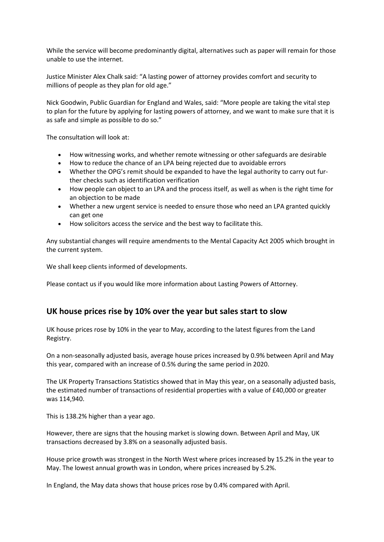While the service will become predominantly digital, alternatives such as paper will remain for those unable to use the internet.

Justice Minister Alex Chalk said: "A lasting power of attorney provides comfort and security to millions of people as they plan for old age."

Nick Goodwin, Public Guardian for England and Wales, said: "More people are taking the vital step to plan for the future by applying for lasting powers of attorney, and we want to make sure that it is as safe and simple as possible to do so."

The consultation will look at:

- How witnessing works, and whether remote witnessing or other safeguards are desirable
- How to reduce the chance of an LPA being rejected due to avoidable errors
- Whether the OPG's remit should be expanded to have the legal authority to carry out further checks such as identification verification
- How people can object to an LPA and the process itself, as well as when is the right time for an objection to be made
- Whether a new urgent service is needed to ensure those who need an LPA granted quickly can get one
- How solicitors access the service and the best way to facilitate this.

Any substantial changes will require amendments to the Mental Capacity Act 2005 which brought in the current system.

We shall keep clients informed of developments.

Please contact us if you would like more information about Lasting Powers of Attorney.

### **UK house prices rise by 10% over the year but sales start to slow**

UK house prices rose by 10% in the year to May, according to the latest figures from the Land Registry.

On a non-seasonally adjusted basis, average house prices increased by 0.9% between April and May this year, compared with an increase of 0.5% during the same period in 2020.

The UK Property Transactions Statistics showed that in May this year, on a seasonally adjusted basis, the estimated number of transactions of residential properties with a value of £40,000 or greater was 114,940.

This is 138.2% higher than a year ago.

However, there are signs that the housing market is slowing down. Between April and May, UK transactions decreased by 3.8% on a seasonally adjusted basis.

House price growth was strongest in the North West where prices increased by 15.2% in the year to May. The lowest annual growth was in London, where prices increased by 5.2%.

In England, the May data shows that house prices rose by 0.4% compared with April.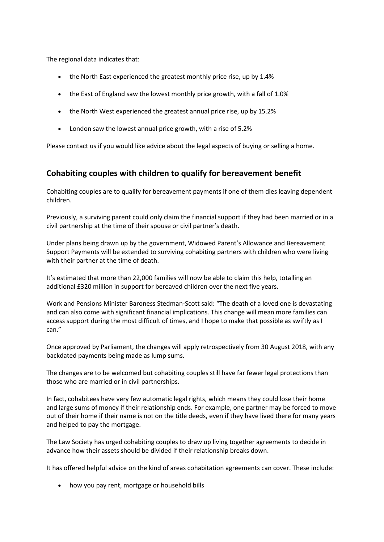The regional data indicates that:

- the North East experienced the greatest monthly price rise, up by 1.4%
- the East of England saw the lowest monthly price growth, with a fall of 1.0%
- the North West experienced the greatest annual price rise, up by 15.2%
- London saw the lowest annual price growth, with a rise of 5.2%

Please contact us if you would like advice about the legal aspects of buying or selling a home.

### **Cohabiting couples with children to qualify for bereavement benefit**

Cohabiting couples are to qualify for bereavement payments if one of them dies leaving dependent children.

Previously, a surviving parent could only claim the financial support if they had been married or in a civil partnership at the time of their spouse or civil partner's death.

Under plans being drawn up by the government, Widowed Parent's Allowance and Bereavement Support Payments will be extended to surviving cohabiting partners with children who were living with their partner at the time of death.

It's estimated that more than 22,000 families will now be able to claim this help, totalling an additional £320 million in support for bereaved children over the next five years.

Work and Pensions Minister Baroness Stedman-Scott said: "The death of a loved one is devastating and can also come with significant financial implications. This change will mean more families can access support during the most difficult of times, and I hope to make that possible as swiftly as I can."

Once approved by Parliament, the changes will apply retrospectively from 30 August 2018, with any backdated payments being made as lump sums.

The changes are to be welcomed but cohabiting couples still have far fewer legal protections than those who are married or in civil partnerships.

In fact, cohabitees have very few automatic legal rights, which means they could lose their home and large sums of money if their relationship ends. For example, one partner may be forced to move out of their home if their name is not on the title deeds, even if they have lived there for many years and helped to pay the mortgage.

The Law Society has urged cohabiting couples to draw up living together agreements to decide in advance how their assets should be divided if their relationship breaks down.

It has offered helpful advice on the kind of areas cohabitation agreements can cover. These include:

• how you pay rent, mortgage or household bills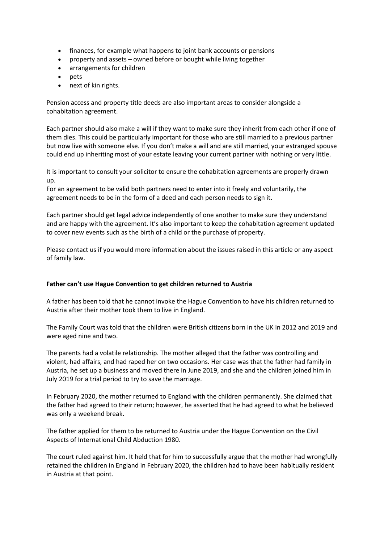- finances, for example what happens to joint bank accounts or pensions
- property and assets owned before or bought while living together
- arrangements for children
- pets
- next of kin rights.

Pension access and property title deeds are also important areas to consider alongside a cohabitation agreement.

Each partner should also make a will if they want to make sure they inherit from each other if one of them dies. This could be particularly important for those who are still married to a previous partner but now live with someone else. If you don't make a will and are still married, your estranged spouse could end up inheriting most of your estate leaving your current partner with nothing or very little.

It is important to consult your solicitor to ensure the cohabitation agreements are properly drawn up.

For an agreement to be valid both partners need to enter into it freely and voluntarily, the agreement needs to be in the form of a deed and each person needs to sign it.

Each partner should get legal advice independently of one another to make sure they understand and are happy with the agreement. It's also important to keep the cohabitation agreement updated to cover new events such as the birth of a child or the purchase of property.

Please contact us if you would more information about the issues raised in this article or any aspect of family law.

### **Father can't use Hague Convention to get children returned to Austria**

A father has been told that he cannot invoke the Hague Convention to have his children returned to Austria after their mother took them to live in England.

The Family Court was told that the children were British citizens born in the UK in 2012 and 2019 and were aged nine and two.

The parents had a volatile relationship. The mother alleged that the father was controlling and violent, had affairs, and had raped her on two occasions. Her case was that the father had family in Austria, he set up a business and moved there in June 2019, and she and the children joined him in July 2019 for a trial period to try to save the marriage.

In February 2020, the mother returned to England with the children permanently. She claimed that the father had agreed to their return; however, he asserted that he had agreed to what he believed was only a weekend break.

The father applied for them to be returned to Austria under the Hague Convention on the Civil Aspects of International Child Abduction 1980.

The court ruled against him. It held that for him to successfully argue that the mother had wrongfully retained the children in England in February 2020, the children had to have been habitually resident in Austria at that point.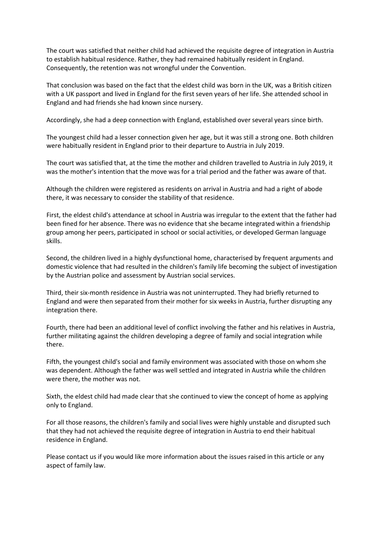The court was satisfied that neither child had achieved the requisite degree of integration in Austria to establish habitual residence. Rather, they had remained habitually resident in England. Consequently, the retention was not wrongful under the Convention.

That conclusion was based on the fact that the eldest child was born in the UK, was a British citizen with a UK passport and lived in England for the first seven years of her life. She attended school in England and had friends she had known since nursery.

Accordingly, she had a deep connection with England, established over several years since birth.

The youngest child had a lesser connection given her age, but it was still a strong one. Both children were habitually resident in England prior to their departure to Austria in July 2019.

The court was satisfied that, at the time the mother and children travelled to Austria in July 2019, it was the mother's intention that the move was for a trial period and the father was aware of that.

Although the children were registered as residents on arrival in Austria and had a right of abode there, it was necessary to consider the stability of that residence.

First, the eldest child's attendance at school in Austria was irregular to the extent that the father had been fined for her absence. There was no evidence that she became integrated within a friendship group among her peers, participated in school or social activities, or developed German language skills.

Second, the children lived in a highly dysfunctional home, characterised by frequent arguments and domestic violence that had resulted in the children's family life becoming the subject of investigation by the Austrian police and assessment by Austrian social services.

Third, their six-month residence in Austria was not uninterrupted. They had briefly returned to England and were then separated from their mother for six weeks in Austria, further disrupting any integration there.

Fourth, there had been an additional level of conflict involving the father and his relatives in Austria, further militating against the children developing a degree of family and social integration while there.

Fifth, the youngest child's social and family environment was associated with those on whom she was dependent. Although the father was well settled and integrated in Austria while the children were there, the mother was not.

Sixth, the eldest child had made clear that she continued to view the concept of home as applying only to England.

For all those reasons, the children's family and social lives were highly unstable and disrupted such that they had not achieved the requisite degree of integration in Austria to end their habitual residence in England.

Please contact us if you would like more information about the issues raised in this article or any aspect of family law.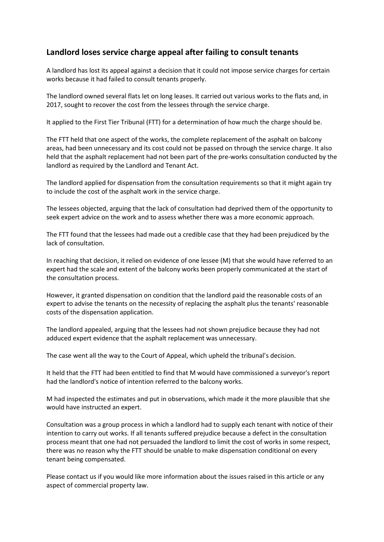# **Landlord loses service charge appeal after failing to consult tenants**

A landlord has lost its appeal against a decision that it could not impose service charges for certain works because it had failed to consult tenants properly.

The landlord owned several flats let on long leases. It carried out various works to the flats and, in 2017, sought to recover the cost from the lessees through the service charge.

It applied to the First Tier Tribunal (FTT) for a determination of how much the charge should be.

The FTT held that one aspect of the works, the complete replacement of the asphalt on balcony areas, had been unnecessary and its cost could not be passed on through the service charge. It also held that the asphalt replacement had not been part of the pre-works consultation conducted by the landlord as required by the Landlord and Tenant Act.

The landlord applied for dispensation from the consultation requirements so that it might again try to include the cost of the asphalt work in the service charge.

The lessees objected, arguing that the lack of consultation had deprived them of the opportunity to seek expert advice on the work and to assess whether there was a more economic approach.

The FTT found that the lessees had made out a credible case that they had been prejudiced by the lack of consultation.

In reaching that decision, it relied on evidence of one lessee (M) that she would have referred to an expert had the scale and extent of the balcony works been properly communicated at the start of the consultation process.

However, it granted dispensation on condition that the landlord paid the reasonable costs of an expert to advise the tenants on the necessity of replacing the asphalt plus the tenants' reasonable costs of the dispensation application.

The landlord appealed, arguing that the lessees had not shown prejudice because they had not adduced expert evidence that the asphalt replacement was unnecessary.

The case went all the way to the Court of Appeal, which upheld the tribunal's decision.

It held that the FTT had been entitled to find that M would have commissioned a surveyor's report had the landlord's notice of intention referred to the balcony works.

M had inspected the estimates and put in observations, which made it the more plausible that she would have instructed an expert.

Consultation was a group process in which a landlord had to supply each tenant with notice of their intention to carry out works. If all tenants suffered prejudice because a defect in the consultation process meant that one had not persuaded the landlord to limit the cost of works in some respect, there was no reason why the FTT should be unable to make dispensation conditional on every tenant being compensated.

Please contact us if you would like more information about the issues raised in this article or any aspect of commercial property law.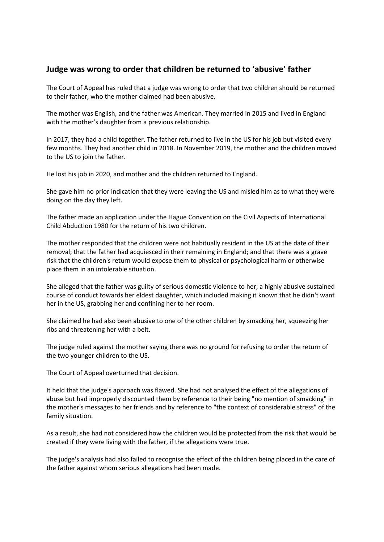## **Judge was wrong to order that children be returned to 'abusive' father**

The Court of Appeal has ruled that a judge was wrong to order that two children should be returned to their father, who the mother claimed had been abusive.

The mother was English, and the father was American. They married in 2015 and lived in England with the mother's daughter from a previous relationship.

In 2017, they had a child together. The father returned to live in the US for his job but visited every few months. They had another child in 2018. In November 2019, the mother and the children moved to the US to join the father.

He lost his job in 2020, and mother and the children returned to England.

She gave him no prior indication that they were leaving the US and misled him as to what they were doing on the day they left.

The father made an application under the Hague Convention on the Civil Aspects of International Child Abduction 1980 for the return of his two children.

The mother responded that the children were not habitually resident in the US at the date of their removal; that the father had acquiesced in their remaining in England; and that there was a grave risk that the children's return would expose them to physical or psychological harm or otherwise place them in an intolerable situation.

She alleged that the father was guilty of serious domestic violence to her; a highly abusive sustained course of conduct towards her eldest daughter, which included making it known that he didn't want her in the US, grabbing her and confining her to her room.

She claimed he had also been abusive to one of the other children by smacking her, squeezing her ribs and threatening her with a belt.

The judge ruled against the mother saying there was no ground for refusing to order the return of the two younger children to the US.

The Court of Appeal overturned that decision.

It held that the judge's approach was flawed. She had not analysed the effect of the allegations of abuse but had improperly discounted them by reference to their being "no mention of smacking" in the mother's messages to her friends and by reference to "the context of considerable stress" of the family situation.

As a result, she had not considered how the children would be protected from the risk that would be created if they were living with the father, if the allegations were true.

The judge's analysis had also failed to recognise the effect of the children being placed in the care of the father against whom serious allegations had been made.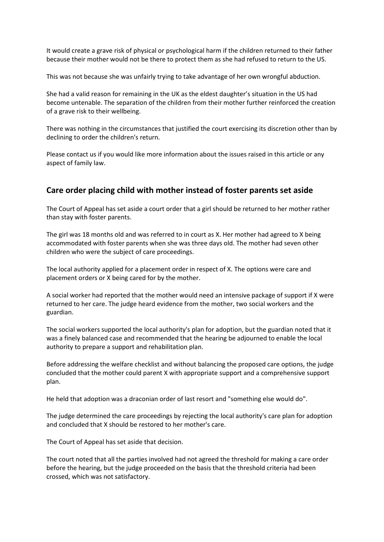It would create a grave risk of physical or psychological harm if the children returned to their father because their mother would not be there to protect them as she had refused to return to the US.

This was not because she was unfairly trying to take advantage of her own wrongful abduction.

She had a valid reason for remaining in the UK as the eldest daughter's situation in the US had become untenable. The separation of the children from their mother further reinforced the creation of a grave risk to their wellbeing.

There was nothing in the circumstances that justified the court exercising its discretion other than by declining to order the children's return.

Please contact us if you would like more information about the issues raised in this article or any aspect of family law.

### **Care order placing child with mother instead of foster parents set aside**

The Court of Appeal has set aside a court order that a girl should be returned to her mother rather than stay with foster parents.

The girl was 18 months old and was referred to in court as X. Her mother had agreed to X being accommodated with foster parents when she was three days old. The mother had seven other children who were the subject of care proceedings.

The local authority applied for a placement order in respect of X. The options were care and placement orders or X being cared for by the mother.

A social worker had reported that the mother would need an intensive package of support if X were returned to her care. The judge heard evidence from the mother, two social workers and the guardian.

The social workers supported the local authority's plan for adoption, but the guardian noted that it was a finely balanced case and recommended that the hearing be adjourned to enable the local authority to prepare a support and rehabilitation plan.

Before addressing the welfare checklist and without balancing the proposed care options, the judge concluded that the mother could parent X with appropriate support and a comprehensive support plan.

He held that adoption was a draconian order of last resort and "something else would do".

The judge determined the care proceedings by rejecting the local authority's care plan for adoption and concluded that X should be restored to her mother's care.

The Court of Appeal has set aside that decision.

The court noted that all the parties involved had not agreed the threshold for making a care order before the hearing, but the judge proceeded on the basis that the threshold criteria had been crossed, which was not satisfactory.